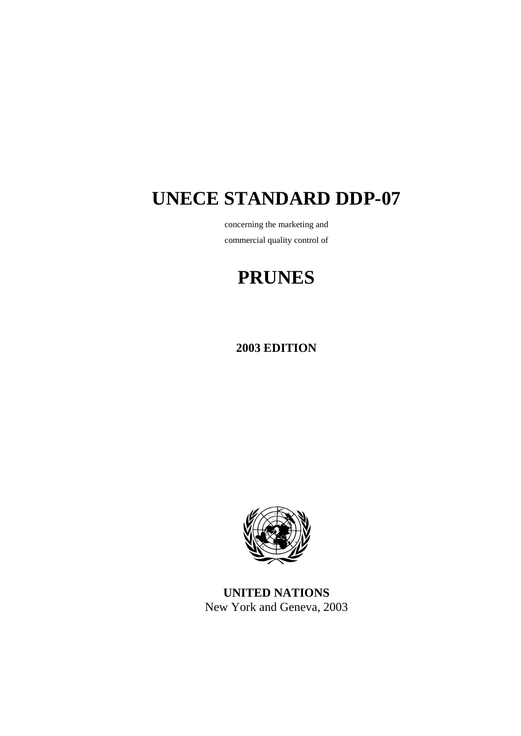# **UNECE STANDARD DDP-07**

concerning the marketing and commercial quality control of

## **PRUNES**

**2003 EDITION** 



**UNITED NATIONS**  New York and Geneva, 2003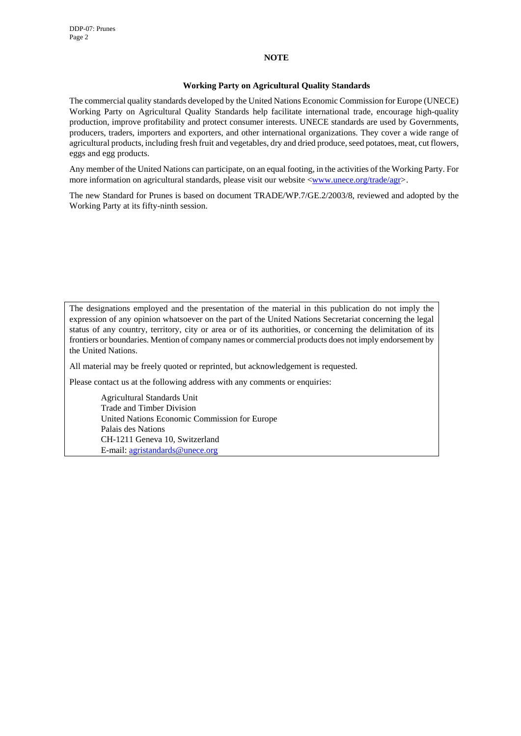#### **NOTE**

#### **Working Party on Agricultural Quality Standards**

The commercial quality standards developed by the United Nations Economic Commission for Europe (UNECE) Working Party on Agricultural Quality Standards help facilitate international trade, encourage high-quality production, improve profitability and protect consumer interests. UNECE standards are used by Governments, producers, traders, importers and exporters, and other international organizations. They cover a wide range of agricultural products, including fresh fruit and vegetables, dry and dried produce, seed potatoes, meat, cut flowers, eggs and egg products.

Any member of the United Nations can participate, on an equal footing, in the activities of the Working Party. For more information on agricultural standards, please visit our website <www.unece.org/trade/agr>.

The new Standard for Prunes is based on document TRADE/WP.7/GE.2/2003/8, reviewed and adopted by the Working Party at its fifty-ninth session.

The designations employed and the presentation of the material in this publication do not imply the expression of any opinion whatsoever on the part of the United Nations Secretariat concerning the legal status of any country, territory, city or area or of its authorities, or concerning the delimitation of its frontiers or boundaries. Mention of company names or commercial products does not imply endorsement by the United Nations.

All material may be freely quoted or reprinted, but acknowledgement is requested.

Please contact us at the following address with any comments or enquiries:

 Agricultural Standards Unit Trade and Timber Division United Nations Economic Commission for Europe Palais des Nations CH-1211 Geneva 10, Switzerland E-mail: agristandards@unece.org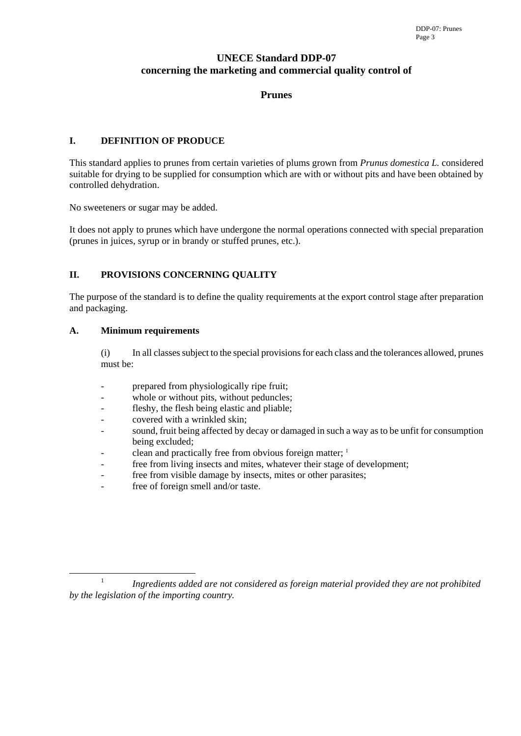## **UNECE Standard DDP-07 concerning the marketing and commercial quality control of**

## **Prunes**

## **I. DEFINITION OF PRODUCE**

This standard applies to prunes from certain varieties of plums grown from *Prunus domestica L.* considered suitable for drying to be supplied for consumption which are with or without pits and have been obtained by controlled dehydration.

No sweeteners or sugar may be added.

It does not apply to prunes which have undergone the normal operations connected with special preparation (prunes in juices, syrup or in brandy or stuffed prunes, etc.).

## **II. PROVISIONS CONCERNING QUALITY**

The purpose of the standard is to define the quality requirements at the export control stage after preparation and packaging.

## **A. Minimum requirements**

(i) In all classes subject to the special provisions for each class and the tolerances allowed, prunes must be:

- prepared from physiologically ripe fruit;
- whole or without pits, without peduncles;
- fleshy, the flesh being elastic and pliable;
- covered with a wrinkled skin;
- sound, fruit being affected by decay or damaged in such a way as to be unfit for consumption being excluded;
- clean and practically free from obvious foreign matter;  $<sup>1</sup>$ </sup>
- free from living insects and mites, whatever their stage of development;
- free from visible damage by insects, mites or other parasites;
- free of foreign smell and/or taste.

<sup>&</sup>lt;sup>1</sup> Ingredients added are not considered as foreign material provided they are not prohibited *by the legislation of the importing country.*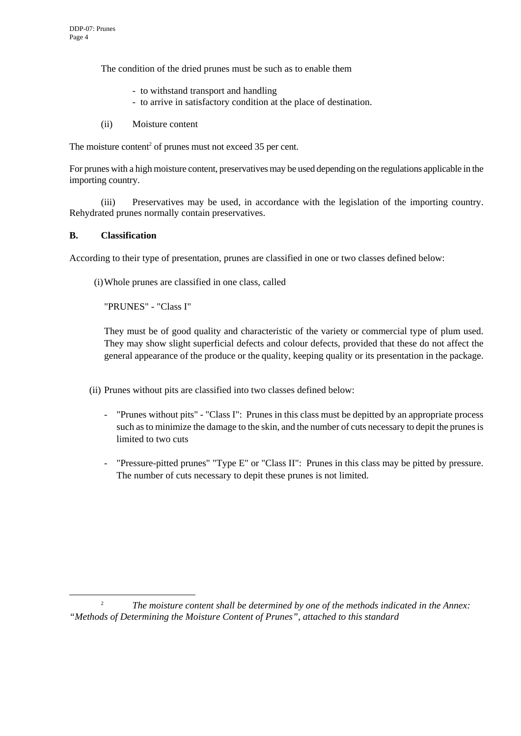The condition of the dried prunes must be such as to enable them

- to withstand transport and handling
- to arrive in satisfactory condition at the place of destination.
- (ii) Moisture content

The moisture content<sup>2</sup> of prunes must not exceed  $35$  per cent.

For prunes with a high moisture content, preservatives may be used depending on the regulations applicable in the importing country.

(iii) Preservatives may be used, in accordance with the legislation of the importing country. Rehydrated prunes normally contain preservatives.

## **B. Classification**

According to their type of presentation, prunes are classified in one or two classes defined below:

(i) Whole prunes are classified in one class, called

"PRUNES" - "Class I"

They must be of good quality and characteristic of the variety or commercial type of plum used. They may show slight superficial defects and colour defects, provided that these do not affect the general appearance of the produce or the quality, keeping quality or its presentation in the package.

(ii) Prunes without pits are classified into two classes defined below:

- "Prunes without pits" "Class I": Prunes in this class must be depitted by an appropriate process such as to minimize the damage to the skin, and the number of cuts necessary to depit the prunes is limited to two cuts
- "Pressure-pitted prunes" "Type E" or "Class II": Prunes in this class may be pitted by pressure. The number of cuts necessary to depit these prunes is not limited.

<sup>&</sup>lt;sup>2</sup> *The moisture content shall be determined by one of the methods indicated in the Annex: "Methods of Determining the Moisture Content of Prunes", attached to this standard*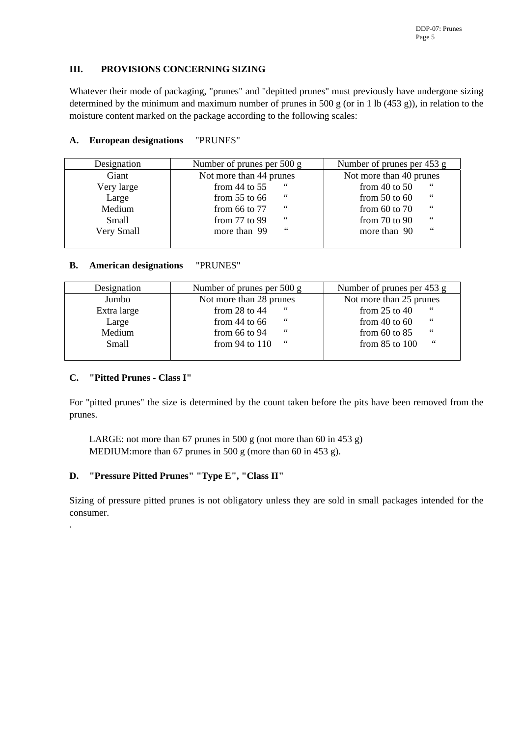## **III. PROVISIONS CONCERNING SIZING**

Whatever their mode of packaging, "prunes" and "depitted prunes" must previously have undergone sizing determined by the minimum and maximum number of prunes in 500 g (or in 1 lb (453 g)), in relation to the moisture content marked on the package according to the following scales:

## **A. European designations** "PRUNES"

| Designation | Number of prunes per 500 g | Number of prunes per 453 g                 |
|-------------|----------------------------|--------------------------------------------|
| Giant       | Not more than 44 prunes    | Not more than 40 prunes                    |
| Very large  | 66<br>from $44$ to $55$    | 66<br>from $40$ to $50$                    |
| Large       | 66<br>from $55$ to $66$    | $\,$ 6 6 $\,$<br>from $50$ to $60$         |
| Medium      | 66<br>from $66$ to $77$    | 66<br>from $60$ to $70$                    |
| Small       | 66<br>from $77$ to $99$    | $\epsilon$ $\epsilon$<br>from $70$ to $90$ |
| Very Small  | $\,6\,6\,$<br>more than 99 | 66<br>more than 90                         |
|             |                            |                                            |

## **B. American designations** "PRUNES"

| Designation | Number of prunes per 500 g | Number of prunes per 453 g  |  |  |
|-------------|----------------------------|-----------------------------|--|--|
| Jumbo       | Not more than 28 prunes    | Not more than 25 prunes     |  |  |
| Extra large | 66<br>from $28$ to $44$    | 66<br>from $25$ to $40$     |  |  |
| Large       | 66<br>from $44$ to $66$    | 66<br>from $40$ to $60$     |  |  |
| Medium      | 66<br>from $66$ to $94$    | $\,66$<br>from $60$ to $85$ |  |  |
| Small       | from $94$ to $110$<br>66   | 66<br>from $85$ to $100$    |  |  |
|             |                            |                             |  |  |

## **C. "Pitted Prunes - Class I"**

.

For "pitted prunes" the size is determined by the count taken before the pits have been removed from the prunes.

LARGE: not more than 67 prunes in 500 g (not more than 60 in 453 g) MEDIUM: more than 67 prunes in 500 g (more than 60 in 453 g).

## **D. "Pressure Pitted Prunes" "Type E", "Class II"**

Sizing of pressure pitted prunes is not obligatory unless they are sold in small packages intended for the consumer.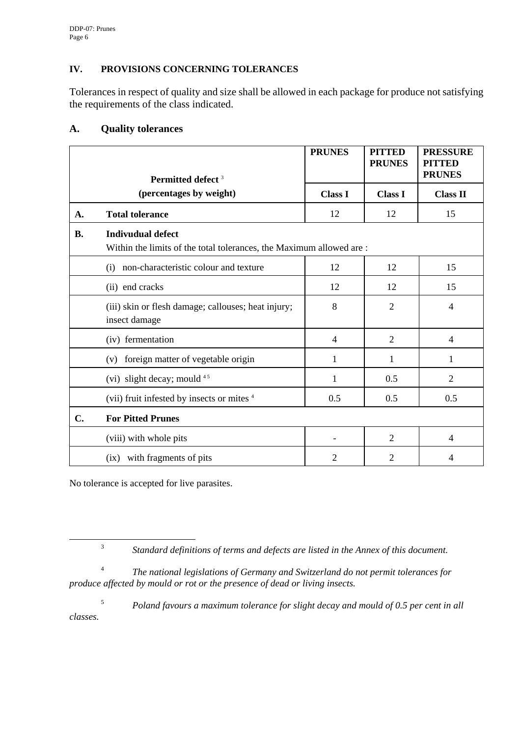## **IV. PROVISIONS CONCERNING TOLERANCES**

Tolerances in respect of quality and size shall be allowed in each package for produce not satisfying the requirements of the class indicated.

|                         | Permitted defect <sup>3</sup>                                                                   | <b>PRUNES</b>  | <b>PITTED</b><br><b>PRUNES</b> | <b>PRESSURE</b><br><b>PITTED</b><br><b>PRUNES</b> |
|-------------------------|-------------------------------------------------------------------------------------------------|----------------|--------------------------------|---------------------------------------------------|
| (percentages by weight) |                                                                                                 | <b>Class I</b> | <b>Class I</b>                 | <b>Class II</b>                                   |
| A.                      | <b>Total tolerance</b>                                                                          | 12             | 12                             | 15                                                |
| <b>B.</b>               | <b>Indivudual defect</b><br>Within the limits of the total tolerances, the Maximum allowed are: |                |                                |                                                   |
|                         | non-characteristic colour and texture<br>(i)                                                    | 12             | 12                             | 15                                                |
|                         | (ii) end cracks                                                                                 | 12             | 12                             | 15                                                |
|                         | (iii) skin or flesh damage; callouses; heat injury;<br>insect damage                            | 8              | $\overline{2}$                 | 4                                                 |
|                         | (iv) fermentation                                                                               | 4              | $\overline{2}$                 | $\overline{4}$                                    |
|                         | foreign matter of vegetable origin<br>(v)                                                       | 1              | 1                              | 1                                                 |
|                         | (vi) slight decay; mould $45$                                                                   | 1              | 0.5                            | $\overline{2}$                                    |
|                         | (vii) fruit infested by insects or mites 4                                                      | 0.5            | 0.5                            | 0.5                                               |
| C.                      | <b>For Pitted Prunes</b>                                                                        |                |                                |                                                   |
|                         | (viii) with whole pits                                                                          |                | $\overline{2}$                 | 4                                                 |
|                         | (ix) with fragments of pits                                                                     | $\overline{2}$ | $\overline{2}$                 | 4                                                 |

## **A. Quality tolerances**

No tolerance is accepted for live parasites.

<sup>4</sup>*The national legislations of Germany and Switzerland do not permit tolerances for produce affected by mould or rot or the presence of dead or living insects.* 

<sup>5</sup>*Poland favours a maximum tolerance for slight decay and mould of 0.5 per cent in all classes.* 

 <sup>3</sup> *Standard definitions of terms and defects are listed in the Annex of this document.*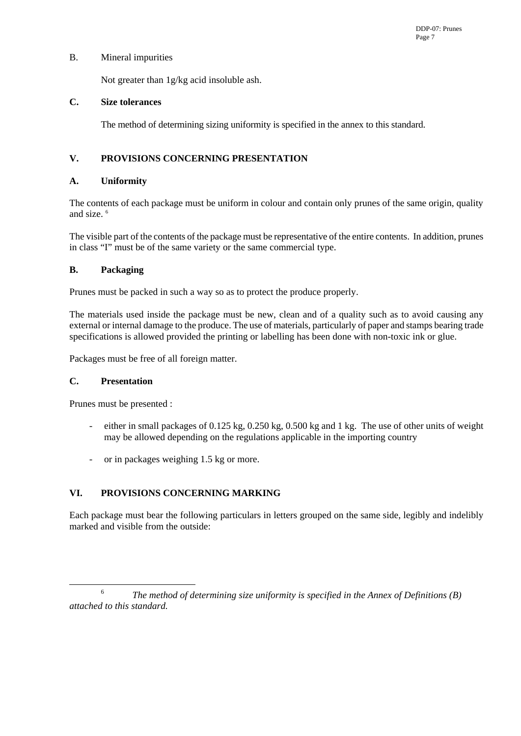## B. Mineral impurities

Not greater than 1g/kg acid insoluble ash.

#### **C. Size tolerances**

The method of determining sizing uniformity is specified in the annex to this standard.

## **V. PROVISIONS CONCERNING PRESENTATION**

## **A. Uniformity**

The contents of each package must be uniform in colour and contain only prunes of the same origin, quality and size. 6

The visible part of the contents of the package must be representative of the entire contents. In addition, prunes in class "I" must be of the same variety or the same commercial type.

## **B. Packaging**

Prunes must be packed in such a way so as to protect the produce properly.

The materials used inside the package must be new, clean and of a quality such as to avoid causing any external or internal damage to the produce. The use of materials, particularly of paper and stamps bearing trade specifications is allowed provided the printing or labelling has been done with non-toxic ink or glue.

Packages must be free of all foreign matter.

## **C. Presentation**

Prunes must be presented :

- either in small packages of 0.125 kg, 0.250 kg, 0.500 kg and 1 kg. The use of other units of weight may be allowed depending on the regulations applicable in the importing country
- or in packages weighing 1.5 kg or more.

## **VI. PROVISIONS CONCERNING MARKING**

Each package must bear the following particulars in letters grouped on the same side, legibly and indelibly marked and visible from the outside:

 <sup>6</sup> *The method of determining size uniformity is specified in the Annex of Definitions (B) attached to this standard.*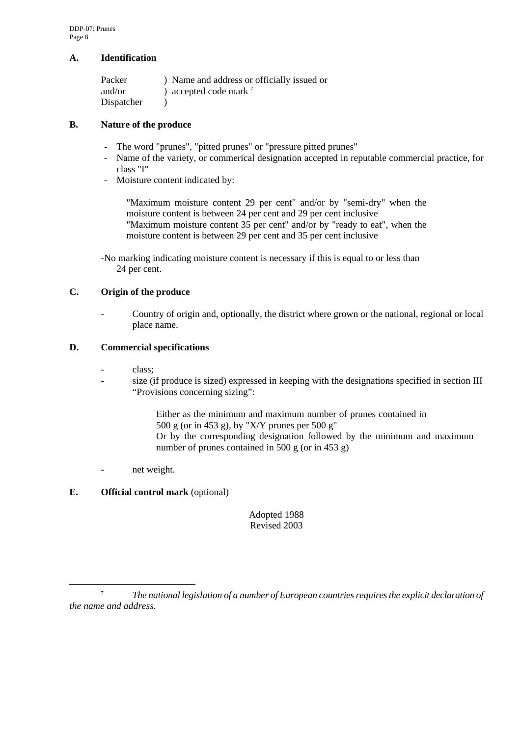#### **A. Identification**

| Packer     | ) Name and address or officially issued or |
|------------|--------------------------------------------|
| and/or     | ) accepted code mark $^7$                  |
| Dispatcher |                                            |

#### **B. Nature of the produce**

- The word "prunes", "pitted prunes" or "pressure pitted prunes"
- Name of the variety, or commerical designation accepted in reputable commercial practice, for class "I"
- Moisture content indicated by:

"Maximum moisture content 29 per cent" and/or by "semi-dry" when the moisture content is between 24 per cent and 29 per cent inclusive "Maximum moisture content 35 per cent" and/or by "ready to eat", when the moisture content is between 29 per cent and 35 per cent inclusive

-No marking indicating moisture content is necessary if this is equal to or less than 24 per cent.

## **C. Origin of the produce**

- Country of origin and, optionally, the district where grown or the national, regional or local place name.

#### **D. Commercial specifications**

- class:
- size (if produce is sized) expressed in keeping with the designations specified in section III "Provisions concerning sizing":

Either as the minimum and maximum number of prunes contained in 500 g (or in 453 g), by "X/Y prunes per 500 g" Or by the corresponding designation followed by the minimum and maximum number of prunes contained in 500 g (or in 453 g)

- net weight.

## **E. Official control mark** (optional)

Adopted 1988 Revised 2003

 <sup>7</sup> *The national legislation of a number of European countries requires the explicit declaration of the name and address.*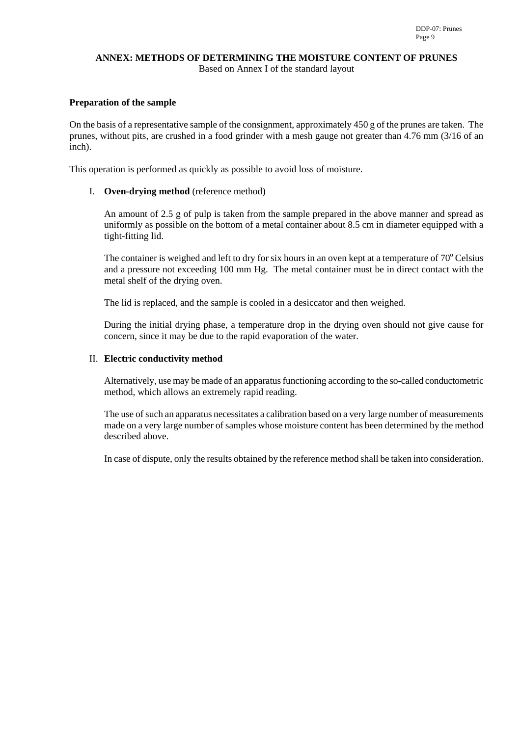## **ANNEX: METHODS OF DETERMINING THE MOISTURE CONTENT OF PRUNES**

Based on Annex I of the standard layout

## **Preparation of the sample**

On the basis of a representative sample of the consignment, approximately 450 g of the prunes are taken. The prunes, without pits, are crushed in a food grinder with a mesh gauge not greater than 4.76 mm (3/16 of an inch).

This operation is performed as quickly as possible to avoid loss of moisture.

## I. **Oven-drying method** (reference method)

An amount of 2.5 g of pulp is taken from the sample prepared in the above manner and spread as uniformly as possible on the bottom of a metal container about 8.5 cm in diameter equipped with a tight-fitting lid.

The container is weighed and left to dry for six hours in an oven kept at a temperature of  $70^{\circ}$  Celsius and a pressure not exceeding 100 mm Hg. The metal container must be in direct contact with the metal shelf of the drying oven.

The lid is replaced, and the sample is cooled in a desiccator and then weighed.

During the initial drying phase, a temperature drop in the drying oven should not give cause for concern, since it may be due to the rapid evaporation of the water.

## II. **Electric conductivity method**

Alternatively, use may be made of an apparatus functioning according to the so-called conductometric method, which allows an extremely rapid reading.

The use of such an apparatus necessitates a calibration based on a very large number of measurements made on a very large number of samples whose moisture content has been determined by the method described above.

In case of dispute, only the results obtained by the reference method shall be taken into consideration.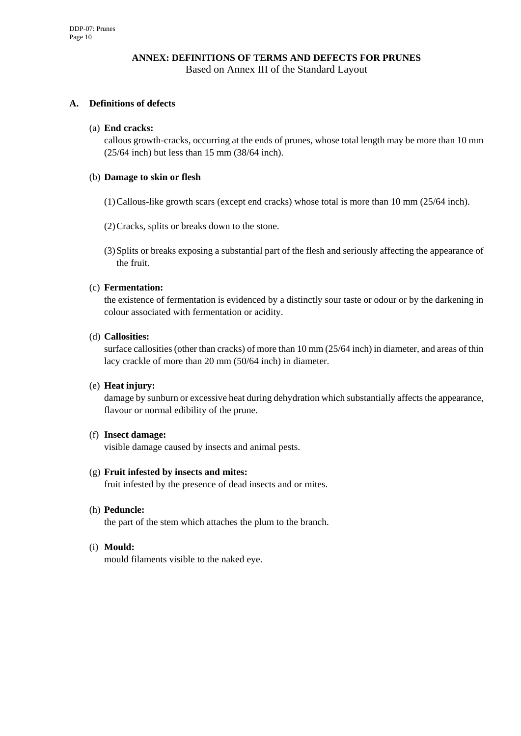## **ANNEX: DEFINITIONS OF TERMS AND DEFECTS FOR PRUNES**  Based on Annex III of the Standard Layout

## **A. Definitions of defects**

#### (a) **End cracks:**

callous growth-cracks, occurring at the ends of prunes, whose total length may be more than 10 mm (25/64 inch) but less than 15 mm (38/64 inch).

#### (b) **Damage to skin or flesh**

(1) Callous-like growth scars (except end cracks) whose total is more than 10 mm (25/64 inch).

(2) Cracks, splits or breaks down to the stone.

(3) Splits or breaks exposing a substantial part of the flesh and seriously affecting the appearance of the fruit.

## (c) **Fermentation:**

the existence of fermentation is evidenced by a distinctly sour taste or odour or by the darkening in colour associated with fermentation or acidity.

#### (d) **Callosities:**

surface callosities (other than cracks) of more than 10 mm (25/64 inch) in diameter, and areas of thin lacy crackle of more than 20 mm (50/64 inch) in diameter.

#### (e) **Heat injury:**

damage by sunburn or excessive heat during dehydration which substantially affects the appearance, flavour or normal edibility of the prune.

#### (f) **Insect damage:**

visible damage caused by insects and animal pests.

#### (g) **Fruit infested by insects and mites:**

fruit infested by the presence of dead insects and or mites.

#### (h) **Peduncle:**

the part of the stem which attaches the plum to the branch.

#### (i) **Mould:**

mould filaments visible to the naked eye.